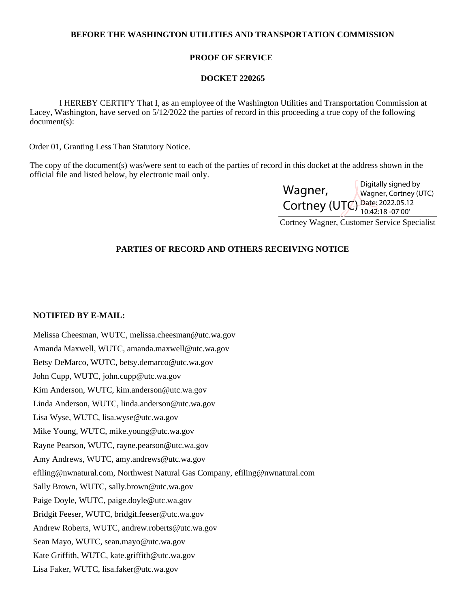## **BEFORE THE WASHINGTON UTILITIES AND TRANSPORTATION COMMISSION**

## **PROOF OF SERVICE**

#### **DOCKET 220265**

 I HEREBY CERTIFY That I, as an employee of the Washington Utilities and Transportation Commission at Lacey, Washington, have served on 5/12/2022 the parties of record in this proceeding a true copy of the following document(s):

Order 01, Granting Less Than Statutory Notice.

The copy of the document(s) was/were sent to each of the parties of record in this docket at the address shown in the official file and listed below, by electronic mail only.

|                                | Digitally signed by   |
|--------------------------------|-----------------------|
| Wagner,                        | Wagner, Cortney (UTC) |
|                                |                       |
| Cortney (UTC) Date: 2022.05.12 |                       |
|                                |                       |

Cortney Wagner, Customer Service Specialist

# **PARTIES OF RECORD AND OTHERS RECEIVING NOTICE**

## **NOTIFIED BY E-MAIL:**

Melissa Cheesman, WUTC, melissa.cheesman@utc.wa.gov Amanda Maxwell, WUTC, amanda.maxwell@utc.wa.gov Betsy DeMarco, WUTC, betsy.demarco@utc.wa.gov John Cupp, WUTC, john.cupp@utc.wa.gov Kim Anderson, WUTC, kim.anderson@utc.wa.gov Linda Anderson, WUTC, linda.anderson@utc.wa.gov Lisa Wyse, WUTC, lisa.wyse@utc.wa.gov Mike Young, WUTC, mike.young@utc.wa.gov Rayne Pearson, WUTC, rayne.pearson@utc.wa.gov Amy Andrews, WUTC, amy.andrews@utc.wa.gov efiling@nwnatural.com, Northwest Natural Gas Company, efiling@nwnatural.com Sally Brown, WUTC, sally.brown@utc.wa.gov Paige Doyle, WUTC, paige.doyle@utc.wa.gov Bridgit Feeser, WUTC, bridgit.feeser@utc.wa.gov Andrew Roberts, WUTC, andrew.roberts@utc.wa.gov Sean Mayo, WUTC, sean.mayo@utc.wa.gov Kate Griffith, WUTC, kate.griffith@utc.wa.gov Lisa Faker, WUTC, lisa.faker@utc.wa.gov